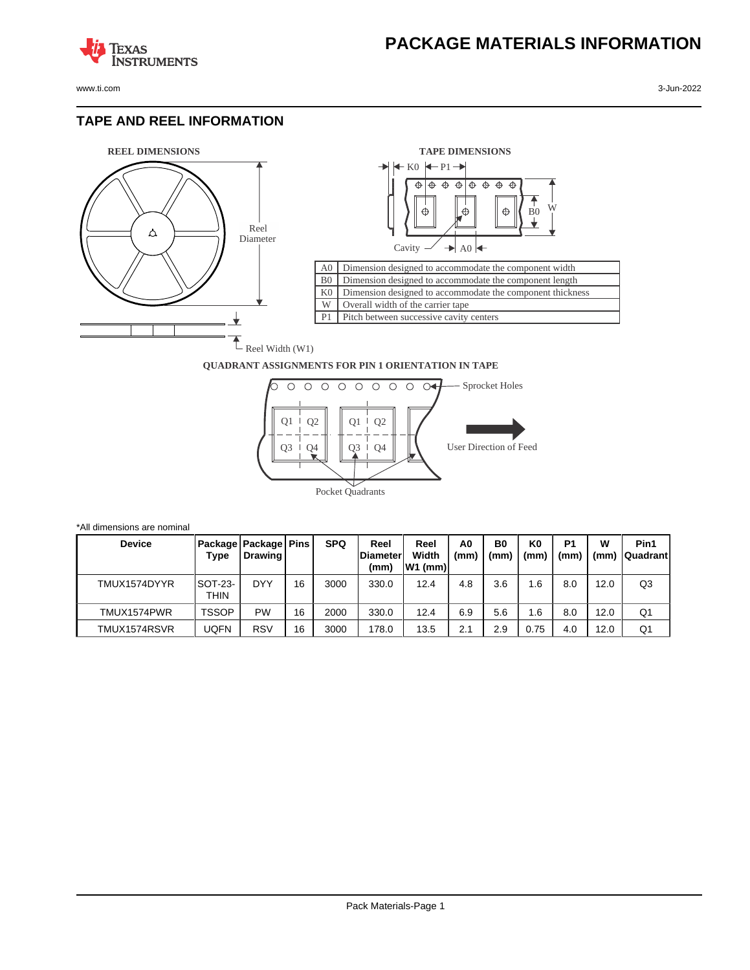

**TEXAS** 

## **TAPE AND REEL INFORMATION**

**ISTRUMENTS** 





## **QUADRANT ASSIGNMENTS FOR PIN 1 ORIENTATION IN TAPE**



| *All dimensions are nominal |                        |                                     |    |            |                                  |                           |            |            |                        |                        |           |                         |
|-----------------------------|------------------------|-------------------------------------|----|------------|----------------------------------|---------------------------|------------|------------|------------------------|------------------------|-----------|-------------------------|
| <b>Device</b>               | Type                   | Package   Package   Pins<br>Drawing |    | <b>SPQ</b> | Reel<br><b>IDiameter</b><br>(mm) | Reel<br>Width<br> W1 (mm) | A0<br>(mm) | B0<br>(mm) | K <sub>0</sub><br>(mm) | P <sub>1</sub><br>(mm) | w<br>(mm) | Pin1<br><b>Quadrant</b> |
| TMUX1574DYYR                | <b>SOT-23-</b><br>THIN | <b>DYY</b>                          | 16 | 3000       | 330.0                            | 12.4                      | 4.8        | 3.6        | 1.6                    | 8.0                    | 12.0      | Q3                      |
| TMUX1574PWR                 | <b>TSSOP</b>           | <b>PW</b>                           | 16 | 2000       | 330.0                            | 12.4                      | 6.9        | 5.6        | 1.6                    | 8.0                    | 12.0      | Q1                      |
| TMUX1574RSVR                | UQFN                   | <b>RSV</b>                          | 16 | 3000       | 178.0                            | 13.5                      | 2.1        | 2.9        | 0.75                   | 4.0                    | 12.0      | Q1                      |

Pack Materials-Page 1